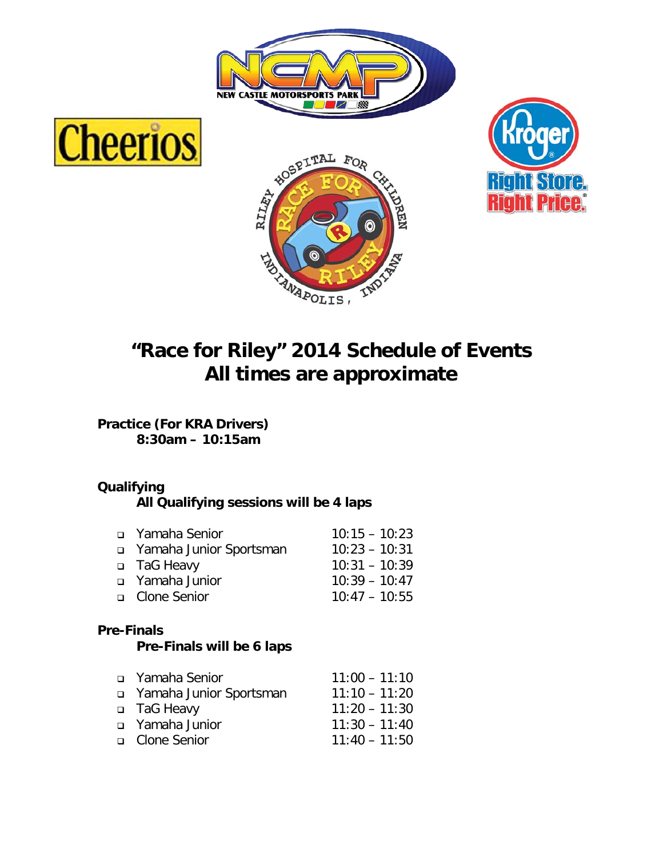

# **"Race for Riley" 2014 Schedule of Events All times are approximate**

### **Practice (For KRA Drivers) 8:30am – 10:15am**

## **Qualifying**

**All Qualifying sessions will be 4 laps**

| n Yamaha Senior           | $10:15 - 10:23$ |
|---------------------------|-----------------|
| m Yamaha Junior Sportsman | $10:23 - 10:31$ |
| □ TaG Heavy               | $10:31 - 10:39$ |
| a Yamaha Junior           | $10:39 - 10:47$ |
| □ Clone Senior            | $10:47 - 10:55$ |

#### **Pre-Finals**

**Pre-Finals will be 6 laps**

| n Yamaha Senior           | $11:00 - 11:10$ |
|---------------------------|-----------------|
| m Yamaha Junior Sportsman | $11:10 - 11:20$ |
| □ TaG Heavy               | $11:20 - 11:30$ |
| a Yamaha Junior           | $11:30 - 11:40$ |
| □ Clone Senior            | $11:40 - 11:50$ |
|                           |                 |